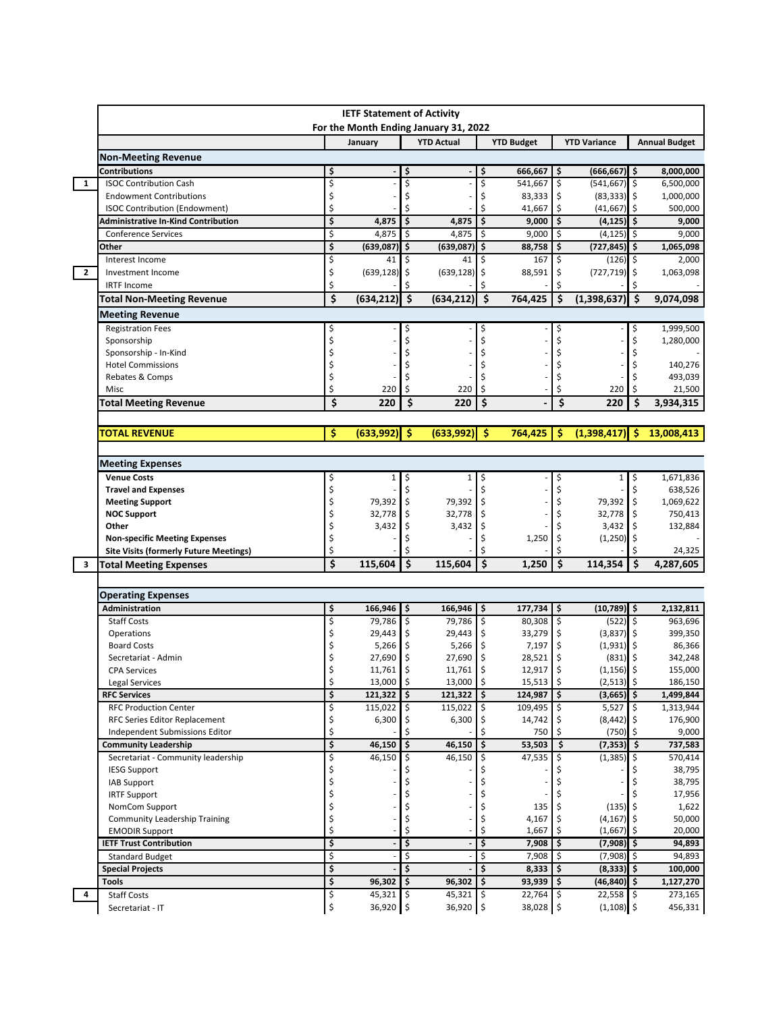|                | <b>IETF Statement of Activity</b><br>For the Month Ending January 31, 2022 |          |                          |                     |                          |                                |         |                                          |           |                      |  |
|----------------|----------------------------------------------------------------------------|----------|--------------------------|---------------------|--------------------------|--------------------------------|---------|------------------------------------------|-----------|----------------------|--|
|                |                                                                            |          |                          |                     |                          |                                |         | <b>YTD Variance</b>                      |           |                      |  |
|                |                                                                            |          | January                  |                     | <b>YTD Actual</b>        | <b>YTD Budget</b>              |         |                                          |           | <b>Annual Budget</b> |  |
|                | <b>Non-Meeting Revenue</b>                                                 | \$       |                          |                     |                          |                                |         | \$                                       |           | 8,000,000            |  |
| 1              | Contributions<br><b>ISOC Contribution Cash</b>                             | \$       |                          | \$<br>\$            |                          | \$<br>666,667<br>\$<br>541,667 |         | $(666, 667)$ \$<br>\$<br>$(541, 667)$ \$ |           | 6,500,000            |  |
|                | <b>Endowment Contributions</b>                                             | \$       |                          | Ś                   |                          | Ś                              | 83,333  | \$<br>$(83, 333)$ \$                     |           | 1,000,000            |  |
|                | <b>ISOC Contribution (Endowment)</b>                                       | \$       |                          | Ś                   |                          | Ś                              | 41,667  | \$<br>(41, 667)                          | ۱\$       | 500,000              |  |
|                | Administrative In-Kind Contribution                                        | \$       | 4,875                    | \$                  | 4,875                    | ۱\$                            | 9,000   | Ŝ<br>$(4, 125)$ \$                       |           | 9,000                |  |
|                | <b>Conference Services</b>                                                 | \$       | 4,875                    | \$                  | 4,875                    | \$ ا                           | 9,000   | \$<br>(4, 125)                           | \$ ا      | 9,000                |  |
|                | Other                                                                      | \$       | (639,087)                | \$                  | $(639,087)$ \$           |                                | 88,758  | \$<br>$(727, 845)$ \$                    |           | 1,065,098            |  |
|                | Interest Income                                                            | \$       | 41                       | \$                  | 41                       | \$                             | 167     | \$<br>$(126)$ \$                         |           | 2,000                |  |
| $\overline{2}$ | Investment Income                                                          | \$       | (639, 128)               | \$                  | $(639, 128)$ \$          |                                | 88,591  | \$<br>$(727, 719)$ \$                    |           | 1,063,098            |  |
|                | <b>IRTF Income</b>                                                         | Ś        |                          | \$                  |                          |                                |         |                                          |           |                      |  |
|                | <b>Total Non-Meeting Revenue</b>                                           | \$       | (634, 212)               | \$                  | (634, 212)               | \$<br>764,425                  |         | \$<br>(1,398,637)                        | -\$       | 9,074,098            |  |
|                | <b>Meeting Revenue</b>                                                     |          |                          |                     |                          |                                |         |                                          |           |                      |  |
|                | <b>Registration Fees</b>                                                   | \$       |                          | \$                  |                          | \$                             |         | \$                                       | \$        | 1,999,500            |  |
|                | Sponsorship                                                                | \$       |                          | \$                  |                          | Ś                              |         | \$                                       | Ś         | 1,280,000            |  |
|                | Sponsorship - In-Kind                                                      |          |                          | \$                  |                          |                                |         |                                          |           |                      |  |
|                | <b>Hotel Commissions</b>                                                   |          |                          |                     |                          |                                |         |                                          |           | 140,276              |  |
|                | Rebates & Comps                                                            | \$       |                          |                     |                          |                                |         |                                          |           | 493,039              |  |
|                | Misc                                                                       | \$       | 220                      | \$                  | 220                      | Ś                              |         | \$<br>220                                | \$        | 21,500               |  |
|                | <b>Total Meeting Revenue</b>                                               | \$       | 220                      | \$                  | 220                      | \$                             |         | \$<br>220                                | \$        | 3,934,315            |  |
|                |                                                                            |          |                          |                     |                          |                                |         |                                          |           |                      |  |
|                | <b>TOTAL REVENUE</b>                                                       | \$       | (633,992)                | -\$                 | (633,992)                | \$<br>764,425                  |         | -Ś<br>$(1,398,417)$ \$                   |           | 13,008,413           |  |
|                |                                                                            |          |                          |                     |                          |                                |         |                                          |           |                      |  |
|                | <b>Meeting Expenses</b>                                                    |          |                          |                     |                          |                                |         |                                          |           |                      |  |
|                | <b>Venue Costs</b>                                                         | \$       | 1                        | \$                  | 1                        | \$                             |         | \$<br>$\mathbf{1}$                       | \$        | 1,671,836            |  |
|                | <b>Travel and Expenses</b>                                                 | \$       |                          | \$                  |                          |                                |         |                                          |           | 638,526              |  |
|                | <b>Meeting Support</b>                                                     | \$       | 79,392                   | l\$                 | 79,392                   | \$                             |         | 79,392                                   | \$        | 1,069,622            |  |
|                | <b>NOC Support</b><br>Other                                                | \$<br>\$ | 32,778<br>3,432          | \$<br>\$            | 32,778<br>3,432          | ۱\$<br>\$                      |         | 32,778<br>3,432                          | -\$<br>\$ | 750,413<br>132,884   |  |
|                | <b>Non-specific Meeting Expenses</b>                                       | \$       |                          | \$                  |                          | Ś                              | 1,250   | \$<br>$(1,250)$ \$                       |           |                      |  |
|                | <b>Site Visits (formerly Future Meetings)</b>                              | \$       |                          | Ś                   |                          |                                |         | Ś                                        | \$        | 24,325               |  |
| 3              | <b>Total Meeting Expenses</b>                                              | Ś        | 115,604                  | $\ddot{\bm{\zeta}}$ | 115,604                  | \$                             | 1,250   | \$<br>114,354                            | l \$      | 4,287,605            |  |
|                |                                                                            |          |                          |                     |                          |                                |         |                                          |           |                      |  |
|                | <b>Operating Expenses</b>                                                  |          |                          |                     |                          |                                |         |                                          |           |                      |  |
|                | <b>Administration</b>                                                      | \$       | 166,946                  | \$                  | $166,946$ \$             |                                | 177,734 | ۱\$<br>$(10,789)$ \$                     |           | 2,132,811            |  |
|                | <b>Staff Costs</b>                                                         | \$       | 79,786 \$                |                     | 79,786 \$                |                                | 80,308  | \$<br>$(522)$ \$                         |           | 963,696              |  |
|                | Operations                                                                 | \$       | 29,443                   | \$                  | $29,443$ \$              |                                | 33,279  | $(3,837)$ \$<br>\$                       |           | 399,350              |  |
|                | <b>Board Costs</b>                                                         | \$       | 5,266                    | \$                  | $5,266$ \$               |                                | 7,197   | (1,931)<br>\$                            | ۱\$       | 86,366               |  |
|                | Secretariat - Admin                                                        |          | 27,690                   | \$                  | 27,690                   | \$                             | 28,521  | \$<br>(831)                              | -\$       | 342,248              |  |
|                | <b>CPA Services</b>                                                        | \$       | 11,761 \$                |                     | 11,761                   | ١s                             | 12,917  | Ś<br>$(1, 156)$ \$                       |           | 155,000              |  |
|                | <b>Legal Services</b>                                                      | \$       | 13,000 \$                |                     | 13,000 \$                |                                | 15,513  | \$<br>$(2,513)$ \$                       |           | 186,150              |  |
|                | <b>RFC Services</b>                                                        | \$       | 121,322                  | l \$                | $121,322$ \$             | 124.987                        |         | $(3,665)$ \$<br>\$                       |           | 1,499,844            |  |
|                | <b>RFC Production Center</b>                                               | \$       | $115,022$ \$             |                     | 115,022 \$               | 109,495                        |         | 5,527<br>\$                              | \$        | 1,313,944            |  |
|                | RFC Series Editor Replacement                                              | \$       | 6,300                    | \$                  | 6,300                    |                                | 14,742  | $(8,442)$ \$                             |           | 176,900              |  |
|                | Independent Submissions Editor                                             | \$       |                          | \$                  |                          | \$                             | 750     | $(750)$ \$                               |           | 9,000                |  |
|                | <b>Community Leadership</b>                                                | \$       | 46,150                   | \$                  | 46,150                   | ١\$                            | 53,503  | Ŝ.<br>$(7,353)$ \$                       |           | 737,583              |  |
|                | Secretariat - Community leadership<br><b>IESG Support</b>                  | \$<br>\$ | 46,150                   | \$                  | 46,150                   | \$                             | 47,535  | (1, 385)                                 | l \$      | 570,414<br>38,795    |  |
|                | <b>IAB Support</b>                                                         | \$       |                          | \$                  |                          |                                |         |                                          |           | 38,795               |  |
|                | <b>IRTF Support</b>                                                        | \$       |                          | \$                  |                          |                                |         |                                          |           | 17,956               |  |
|                | NomCom Support                                                             | \$       |                          | \$                  |                          | \$                             | 135     | $(135)$ \$                               |           | 1,622                |  |
|                | <b>Community Leadership Training</b>                                       | \$       |                          | \$                  |                          | \$                             | 4,167   | (4, 167)                                 |           | 50,000               |  |
|                |                                                                            |          |                          | \$                  |                          | \$                             | 1,667   | $(1,667)$ \$                             |           | 20,000               |  |
|                | <b>EMODIR Support</b>                                                      | \$       |                          |                     |                          |                                |         |                                          |           |                      |  |
|                | <b>IETF Trust Contribution</b>                                             | \$       |                          | \$                  |                          | \$                             | 7,908   | \$<br>$(7,908)$ \$                       |           | 94,893               |  |
|                | <b>Standard Budget</b>                                                     | \$       |                          | \$                  |                          | \$                             | 7,908   | $(7,908)$ \$<br>-\$                      |           | 94,893               |  |
|                | <b>Special Projects</b>                                                    | \$       |                          | \$                  |                          | \$                             | 8,333   | $(8,333)$ \$<br>\$ ا                     |           | 100,000              |  |
|                | <b>Tools</b>                                                               | \$       | 96,302                   | l\$                 | 96,302                   | ١\$                            | 93,939  | $(46, 840)$ \$<br>\$                     |           | 1,127,270            |  |
| 4              | <b>Staff Costs</b>                                                         | \$<br>\$ | $45,321$ \$<br>36,920 \$ |                     | $45,321$ \$<br>36,920 \$ |                                | 22,764  | l\$<br>$22,558$ \$                       |           | 273,165              |  |